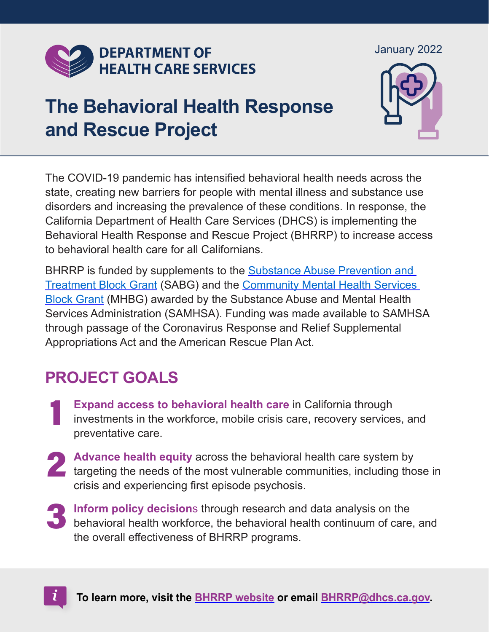

#### January 2022

January 2022

# **The Behavioral Health Response and Rescue Project**



The COVID-19 pandemic has intensified behavioral health needs across the state, creating new barriers for people with mental illness and substance use disorders and increasing the prevalence of these conditions. In response, the California Department of Health Care Services (DHCS) is implementing the Behavioral Health Response and Rescue Project (BHRRP) to increase access to behavioral health care for all Californians.

BHRRP is funded by supplements to the [Substance Abuse Prevention and](https://www.dhcs.ca.gov/provgovpart/Pages/Substance-Abuse-Block-Grant-SABG.aspx)  [Treatment Block Grant](https://www.dhcs.ca.gov/provgovpart/Pages/Substance-Abuse-Block-Grant-SABG.aspx) (SABG) and the [Community Mental Health Services](https://www.dhcs.ca.gov/services/MH/Pages/MHBG.aspx)  [Block Grant](https://www.dhcs.ca.gov/services/MH/Pages/MHBG.aspx) (MHBG) awarded by the Substance Abuse and Mental Health Services Administration (SAMHSA). Funding was made available to SAMHSA through passage of the Coronavirus Response and Relief Supplemental Appropriations Act and the American Rescue Plan Act.

# **PROJECT GOALS**

- 1 **Expand access to behavioral health care** in California through investments in the workforce, mobile crisis care, recovery services, and preventative care.
- 2 **Advance health equity** across the behavioral health care system by targeting the needs of the most vulnerable communities, including those in crisis and experiencing first episode psychosis.
- **behavioral health workforce, the behavioral health continuum of care, and**<br>the suspell offentiveness of BUBBB assesses **Inform policy decision**s through research and data analysis on the the overall effectiveness of BHRRP programs.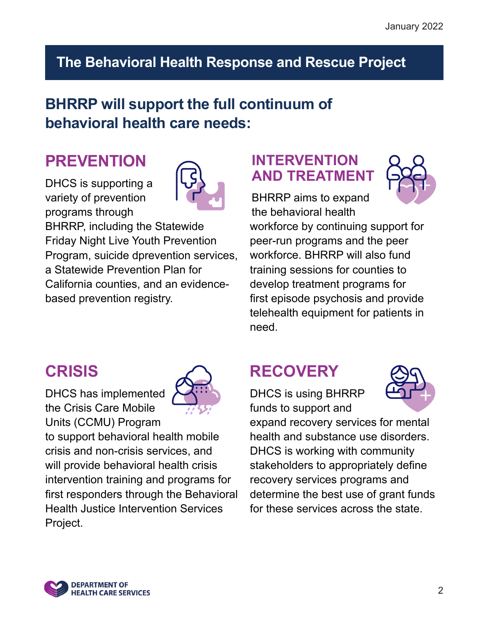## **The Behavioral Health Response and Rescue Project**

## **BHRRP will support the full continuum of behavioral health care needs:**

# **PREVENTION**

DHCS is supporting a variety of prevention programs through



BHRRP, including the Statewide Friday Night Live Youth Prevention Program, suicide dprevention services, a Statewide Prevention Plan for California counties, and an evidencebased prevention registry.

#### **INTERVENTION AND TREATMENT**



BHRRP aims to expand the behavioral health workforce by continuing support for peer-run programs and the peer workforce. BHRRP will also fund training sessions for counties to develop treatment programs for first episode psychosis and provide telehealth equipment for patients in need.

# **CRISIS**

DHCS has implemented the Crisis Care Mobile Units (CCMU) Program



to support behavioral health mobile crisis and non-crisis services, and will provide behavioral health crisis intervention training and programs for first responders through the Behavioral Health Justice Intervention Services Project.

# **RECOVERY**

DHCS is using BHRRP funds to support and



expand recovery services for mental health and substance use disorders. DHCS is working with community stakeholders to appropriately define recovery services programs and determine the best use of grant funds for these services across the state.

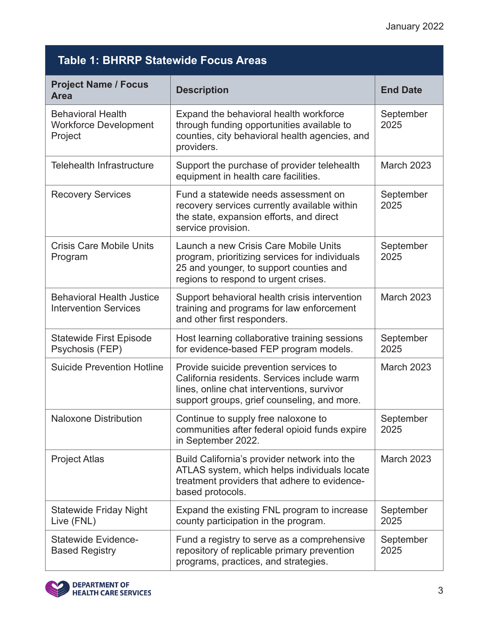| <b>Table 1: BHRRP Statewide Focus Areas</b>                         |                                                                                                                                                                                    |                   |  |  |
|---------------------------------------------------------------------|------------------------------------------------------------------------------------------------------------------------------------------------------------------------------------|-------------------|--|--|
| <b>Project Name / Focus</b><br><b>Area</b>                          | <b>Description</b>                                                                                                                                                                 | <b>End Date</b>   |  |  |
| <b>Behavioral Health</b><br><b>Workforce Development</b><br>Project | Expand the behavioral health workforce<br>through funding opportunities available to<br>counties, city behavioral health agencies, and<br>providers.                               | September<br>2025 |  |  |
| <b>Telehealth Infrastructure</b>                                    | Support the purchase of provider telehealth<br>equipment in health care facilities.                                                                                                | <b>March 2023</b> |  |  |
| <b>Recovery Services</b>                                            | Fund a statewide needs assessment on<br>recovery services currently available within<br>the state, expansion efforts, and direct<br>service provision.                             | September<br>2025 |  |  |
| <b>Crisis Care Mobile Units</b><br>Program                          | Launch a new Crisis Care Mobile Units<br>program, prioritizing services for individuals<br>25 and younger, to support counties and<br>regions to respond to urgent crises.         | September<br>2025 |  |  |
| <b>Behavioral Health Justice</b><br><b>Intervention Services</b>    | Support behavioral health crisis intervention<br>training and programs for law enforcement<br>and other first responders.                                                          | <b>March 2023</b> |  |  |
| <b>Statewide First Episode</b><br>Psychosis (FEP)                   | Host learning collaborative training sessions<br>for evidence-based FEP program models.                                                                                            | September<br>2025 |  |  |
| <b>Suicide Prevention Hotline</b>                                   | Provide suicide prevention services to<br>California residents. Services include warm<br>lines, online chat interventions, survivor<br>support groups, grief counseling, and more. | <b>March 2023</b> |  |  |
| <b>Naloxone Distribution</b>                                        | Continue to supply free naloxone to<br>communities after federal opioid funds expire<br>in September 2022.                                                                         | September<br>2025 |  |  |
| <b>Project Atlas</b>                                                | Build California's provider network into the<br>ATLAS system, which helps individuals locate<br>treatment providers that adhere to evidence-<br>based protocols.                   | <b>March 2023</b> |  |  |
| <b>Statewide Friday Night</b><br>Live (FNL)                         | Expand the existing FNL program to increase<br>county participation in the program.                                                                                                | September<br>2025 |  |  |
| <b>Statewide Evidence-</b><br><b>Based Registry</b>                 | Fund a registry to serve as a comprehensive<br>repository of replicable primary prevention<br>programs, practices, and strategies.                                                 | September<br>2025 |  |  |

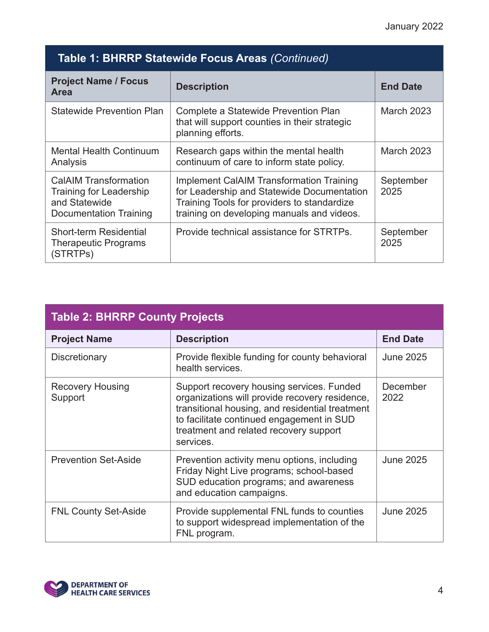#### Table 1: BHRRP Statewide Focus Areas (Continued)

| <b>Project Name / Focus</b><br><b>Area</b>                                                                | <b>Description</b>                                                                                                                                                                         | <b>End Date</b>   |
|-----------------------------------------------------------------------------------------------------------|--------------------------------------------------------------------------------------------------------------------------------------------------------------------------------------------|-------------------|
| <b>Statewide Prevention Plan</b>                                                                          | Complete a Statewide Prevention Plan<br>that will support counties in their strategic<br>planning efforts.                                                                                 | <b>March 2023</b> |
| <b>Mental Health Continuum</b><br>Analysis                                                                | Research gaps within the mental health<br>continuum of care to inform state policy.                                                                                                        | <b>March 2023</b> |
| <b>CalAIM Transformation</b><br><b>Training for Leadership</b><br>and Statewide<br>Documentation Training | <b>Implement CalAIM Transformation Training</b><br>for Leadership and Statewide Documentation<br>Training Tools for providers to standardize<br>training on developing manuals and videos. | September<br>2025 |
| Short-term Residential<br><b>Therapeutic Programs</b><br>(STRTPs)                                         | Provide technical assistance for STRTPs.                                                                                                                                                   | September<br>2025 |

| <b>Table 2: BHRRP County Projects</b> |                                                                                                                                                                                                                                                    |                  |  |  |
|---------------------------------------|----------------------------------------------------------------------------------------------------------------------------------------------------------------------------------------------------------------------------------------------------|------------------|--|--|
| <b>Project Name</b>                   | <b>Description</b>                                                                                                                                                                                                                                 | <b>End Date</b>  |  |  |
| Discretionary                         | Provide flexible funding for county behavioral<br>health services.                                                                                                                                                                                 | <b>June 2025</b> |  |  |
| <b>Recovery Housing</b><br>Support    | Support recovery housing services. Funded<br>organizations will provide recovery residence,<br>transitional housing, and residential treatment<br>to facilitate continued engagement in SUD<br>treatment and related recovery support<br>services. | December<br>2022 |  |  |
| <b>Prevention Set-Aside</b>           | Prevention activity menu options, including<br>Friday Night Live programs; school-based<br>SUD education programs; and awareness<br>and education campaigns.                                                                                       | <b>June 2025</b> |  |  |
| <b>FNL County Set-Aside</b>           | Provide supplemental FNL funds to counties<br>to support widespread implementation of the<br>FNL program.                                                                                                                                          | <b>June 2025</b> |  |  |